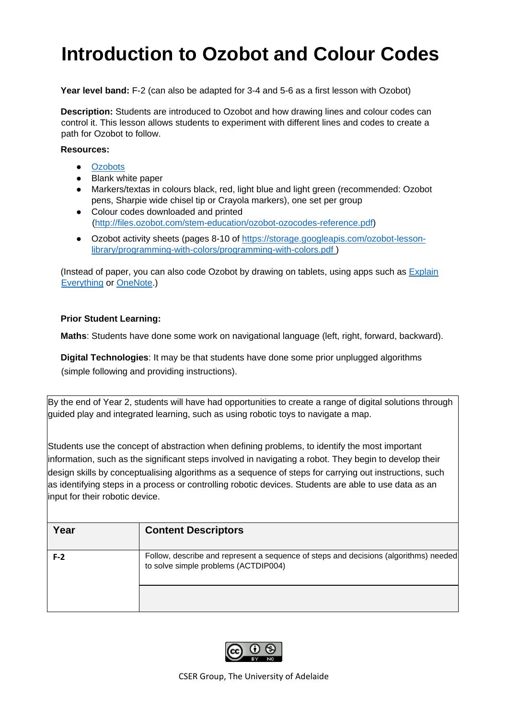# **Introduction to Ozobot and Colour Codes**

**Year level band:** F-2 (can also be adapted for 3-4 and 5-6 as a first lesson with Ozobot)

**Description:** Students are introduced to Ozobot and how drawing lines and colour codes can control it. This lesson allows students to experiment with different lines and codes to create a path for Ozobot to follow.

#### **Resources:**

- **[Ozobots](https://ozobot.com/)**
- Blank white paper
- Markers/textas in colours black, red, light blue and light green (recommended: Ozobot pens, Sharpie wide chisel tip or Crayola markers), one set per group
- Colour codes downloaded and printed [\(http://files.ozobot.com/stem-education/ozobot-ozocodes-reference.pdf\)](http://files.ozobot.com/stem-education/ozobot-ozocodes-reference.pdf)
- Ozobot activity sheets (pages 8-10 of [https://storage.googleapis.com/ozobot-lesson](https://storage.googleapis.com/ozobot-lesson-library/programming-with-colors/programming-with-colors.pdf)[library/programming-with-colors/programming-with-colors.pdf](https://storage.googleapis.com/ozobot-lesson-library/programming-with-colors/programming-with-colors.pdf) )

(Instead of paper, you can also code Ozobot by drawing on tablets, using apps such as **Explain** [Everything](https://explaineverything.com/) or [OneNote.](https://products.office.com/en-AU/onenote))

#### **Prior Student Learning:**

**Maths**: Students have done some work on navigational language (left, right, forward, backward).

**Digital Technologies**: It may be that students have done some prior unplugged algorithms (simple following and providing instructions).

By the end of Year 2, students will have had opportunities to create a range of digital solutions through guided play and integrated learning, such as using robotic toys to navigate a map.

Students use the concept of abstraction when defining problems, to identify the most important information, such as the significant steps involved in navigating a robot. They begin to develop their design skills by conceptualising algorithms as a sequence of steps for carrying out instructions, such as identifying steps in a process or controlling robotic devices. Students are able to use data as an input for their robotic device.

| Year  | <b>Content Descriptors</b>                                                                                                   |
|-------|------------------------------------------------------------------------------------------------------------------------------|
| $F-2$ | Follow, describe and represent a sequence of steps and decisions (algorithms) needed<br>to solve simple problems (ACTDIP004) |
|       |                                                                                                                              |

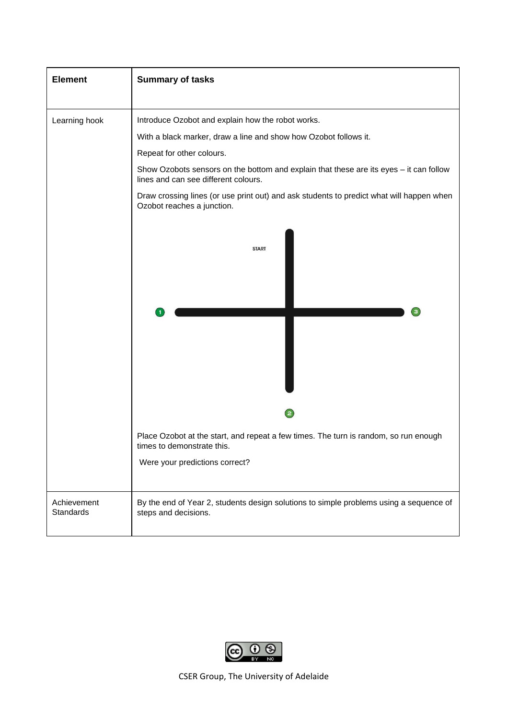| <b>Element</b> | <b>Summary of tasks</b>                                                                                                                                                                                                                                                                                                                                                                                                        |  |  |  |  |
|----------------|--------------------------------------------------------------------------------------------------------------------------------------------------------------------------------------------------------------------------------------------------------------------------------------------------------------------------------------------------------------------------------------------------------------------------------|--|--|--|--|
| Learning hook  | Introduce Ozobot and explain how the robot works.<br>With a black marker, draw a line and show how Ozobot follows it.<br>Repeat for other colours.<br>Show Ozobots sensors on the bottom and explain that these are its eyes - it can follow<br>lines and can see different colours.<br>Draw crossing lines (or use print out) and ask students to predict what will happen when<br>Ozobot reaches a junction.<br><b>START</b> |  |  |  |  |
| Achievement    | $\overline{\mathbf{c}}$<br>Place Ozobot at the start, and repeat a few times. The turn is random, so run enough<br>times to demonstrate this.<br>Were your predictions correct?<br>By the end of Year 2, students design solutions to simple problems using a sequence of                                                                                                                                                      |  |  |  |  |
| Standards      | steps and decisions.                                                                                                                                                                                                                                                                                                                                                                                                           |  |  |  |  |

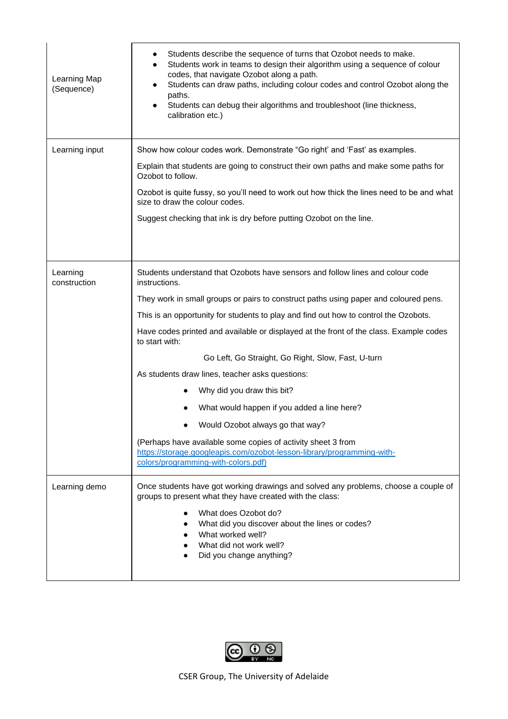| Learning Map<br>(Sequence) | Students describe the sequence of turns that Ozobot needs to make.<br>٠<br>Students work in teams to design their algorithm using a sequence of colour<br>codes, that navigate Ozobot along a path.<br>Students can draw paths, including colour codes and control Ozobot along the<br>$\bullet$<br>paths.<br>Students can debug their algorithms and troubleshoot (line thickness,<br>calibration etc.) |  |  |  |  |
|----------------------------|----------------------------------------------------------------------------------------------------------------------------------------------------------------------------------------------------------------------------------------------------------------------------------------------------------------------------------------------------------------------------------------------------------|--|--|--|--|
| Learning input             | Show how colour codes work. Demonstrate "Go right' and 'Fast' as examples.                                                                                                                                                                                                                                                                                                                               |  |  |  |  |
|                            | Explain that students are going to construct their own paths and make some paths for<br>Ozobot to follow.                                                                                                                                                                                                                                                                                                |  |  |  |  |
|                            | Ozobot is quite fussy, so you'll need to work out how thick the lines need to be and what<br>size to draw the colour codes.                                                                                                                                                                                                                                                                              |  |  |  |  |
|                            | Suggest checking that ink is dry before putting Ozobot on the line.                                                                                                                                                                                                                                                                                                                                      |  |  |  |  |
|                            |                                                                                                                                                                                                                                                                                                                                                                                                          |  |  |  |  |
| Learning<br>construction   | Students understand that Ozobots have sensors and follow lines and colour code<br>instructions.                                                                                                                                                                                                                                                                                                          |  |  |  |  |
|                            | They work in small groups or pairs to construct paths using paper and coloured pens.                                                                                                                                                                                                                                                                                                                     |  |  |  |  |
|                            | This is an opportunity for students to play and find out how to control the Ozobots.                                                                                                                                                                                                                                                                                                                     |  |  |  |  |
|                            | Have codes printed and available or displayed at the front of the class. Example codes<br>to start with:                                                                                                                                                                                                                                                                                                 |  |  |  |  |
|                            | Go Left, Go Straight, Go Right, Slow, Fast, U-turn                                                                                                                                                                                                                                                                                                                                                       |  |  |  |  |
|                            | As students draw lines, teacher asks questions:                                                                                                                                                                                                                                                                                                                                                          |  |  |  |  |
|                            | Why did you draw this bit?                                                                                                                                                                                                                                                                                                                                                                               |  |  |  |  |
|                            | What would happen if you added a line here?                                                                                                                                                                                                                                                                                                                                                              |  |  |  |  |
|                            | Would Ozobot always go that way?                                                                                                                                                                                                                                                                                                                                                                         |  |  |  |  |
|                            | (Perhaps have available some copies of activity sheet 3 from<br>https://storage.googleapis.com/ozobot-lesson-library/programming-with-<br>colors/programming-with-colors.pdf)                                                                                                                                                                                                                            |  |  |  |  |
| Learning demo              | Once students have got working drawings and solved any problems, choose a couple of<br>groups to present what they have created with the class:                                                                                                                                                                                                                                                          |  |  |  |  |
|                            | What does Ozobot do?<br>What did you discover about the lines or codes?<br>What worked well?<br>What did not work well?<br>Did you change anything?                                                                                                                                                                                                                                                      |  |  |  |  |

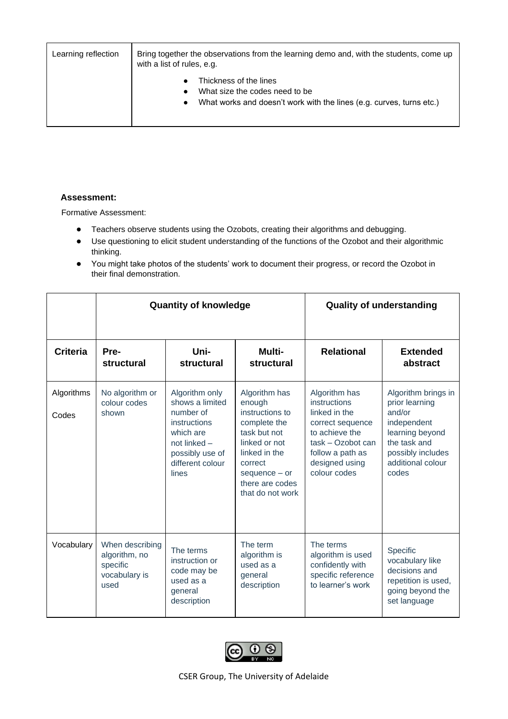| Learning reflection | Bring together the observations from the learning demo and, with the students, come up<br>with a list of rules, e.g.                          |  |  |  |  |
|---------------------|-----------------------------------------------------------------------------------------------------------------------------------------------|--|--|--|--|
|                     | Thickness of the lines<br>What size the codes need to be<br>What works and doesn't work with the lines (e.g. curves, turns etc.)<br>$\bullet$ |  |  |  |  |

#### **Assessment:**

Formative Assessment:

- Teachers observe students using the Ozobots, creating their algorithms and debugging.
- Use questioning to elicit student understanding of the functions of the Ozobot and their algorithmic thinking.
- You might take photos of the students' work to document their progress, or record the Ozobot in their final demonstration.

|                     |                                                                       | <b>Quantity of knowledge</b>                                                                                                                | <b>Quality of understanding</b>                                                                                                                                                   |                                                                                                                                                                 |                                                                                                                                                      |
|---------------------|-----------------------------------------------------------------------|---------------------------------------------------------------------------------------------------------------------------------------------|-----------------------------------------------------------------------------------------------------------------------------------------------------------------------------------|-----------------------------------------------------------------------------------------------------------------------------------------------------------------|------------------------------------------------------------------------------------------------------------------------------------------------------|
| <b>Criteria</b>     | Pre-<br>structural                                                    | Uni-<br>structural                                                                                                                          | Multi-<br>structural                                                                                                                                                              | <b>Relational</b>                                                                                                                                               | <b>Extended</b><br>abstract                                                                                                                          |
| Algorithms<br>Codes | No algorithm or<br>colour codes<br>shown                              | Algorithm only<br>shows a limited<br>number of<br>instructions<br>which are<br>not linked -<br>possibly use of<br>different colour<br>lines | Algorithm has<br>enough<br>instructions to<br>complete the<br>task but not<br>linked or not<br>linked in the<br>correct<br>$sequence - or$<br>there are codes<br>that do not work | Algorithm has<br>instructions<br>linked in the<br>correct sequence<br>to achieve the<br>task - Ozobot can<br>follow a path as<br>designed using<br>colour codes | Algorithm brings in<br>prior learning<br>and/or<br>independent<br>learning beyond<br>the task and<br>possibly includes<br>additional colour<br>codes |
| Vocabulary          | When describing<br>algorithm, no<br>specific<br>vocabulary is<br>used | The terms<br>instruction or<br>code may be<br>used as a<br>general<br>description                                                           | The term<br>algorithm is<br>used as a<br>general<br>description                                                                                                                   | The terms<br>algorithm is used<br>confidently with<br>specific reference<br>to learner's work                                                                   | Specific<br>vocabulary like<br>decisions and<br>repetition is used,<br>going beyond the<br>set language                                              |